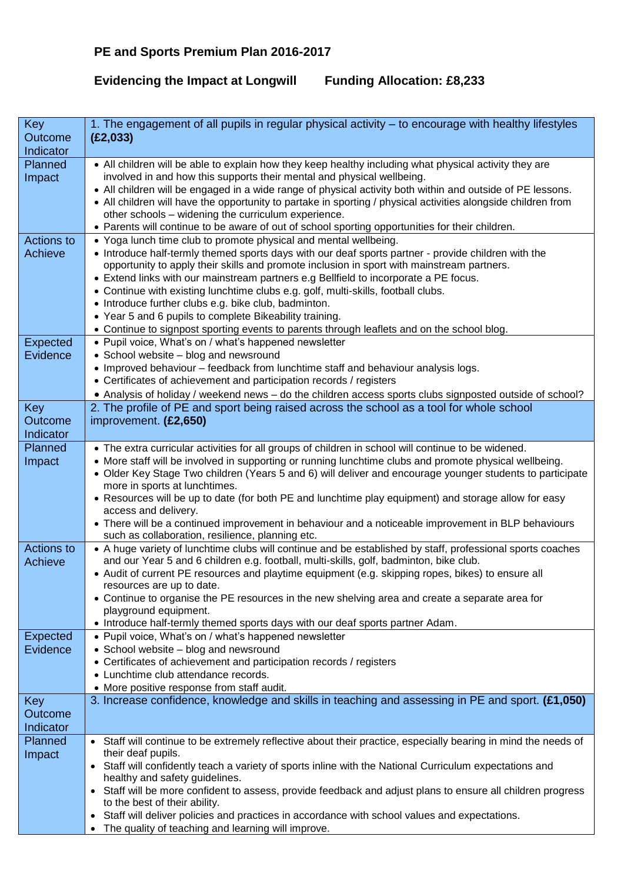## **Evidencing the Impact at Longwill Funding Allocation: £8,233**

| Key                         | 1. The engagement of all pupils in regular physical activity – to encourage with healthy lifestyles                                                                                         |
|-----------------------------|---------------------------------------------------------------------------------------------------------------------------------------------------------------------------------------------|
| Outcome<br>Indicator        | (E2,033)                                                                                                                                                                                    |
| Planned                     | • All children will be able to explain how they keep healthy including what physical activity they are                                                                                      |
| Impact                      | involved in and how this supports their mental and physical wellbeing.<br>• All children will be engaged in a wide range of physical activity both within and outside of PE lessons.        |
|                             | • All children will have the opportunity to partake in sporting / physical activities alongside children from                                                                               |
|                             | other schools - widening the curriculum experience.                                                                                                                                         |
|                             | • Parents will continue to be aware of out of school sporting opportunities for their children.                                                                                             |
| <b>Actions to</b>           | • Yoga lunch time club to promote physical and mental wellbeing.                                                                                                                            |
| Achieve                     | • Introduce half-termly themed sports days with our deaf sports partner - provide children with the                                                                                         |
|                             | opportunity to apply their skills and promote inclusion in sport with mainstream partners.<br>• Extend links with our mainstream partners e.g Bellfield to incorporate a PE focus.          |
|                             | • Continue with existing lunchtime clubs e.g. golf, multi-skills, football clubs.                                                                                                           |
|                             | • Introduce further clubs e.g. bike club, badminton.                                                                                                                                        |
|                             | • Year 5 and 6 pupils to complete Bikeability training.                                                                                                                                     |
|                             | • Continue to signpost sporting events to parents through leaflets and on the school blog.                                                                                                  |
| <b>Expected</b><br>Evidence | • Pupil voice, What's on / what's happened newsletter<br>• School website - blog and newsround                                                                                              |
|                             | . Improved behaviour - feedback from lunchtime staff and behaviour analysis logs.                                                                                                           |
|                             | • Certificates of achievement and participation records / registers                                                                                                                         |
|                             | • Analysis of holiday / weekend news - do the children access sports clubs signposted outside of school?                                                                                    |
| Key                         | 2. The profile of PE and sport being raised across the school as a tool for whole school                                                                                                    |
| Outcome                     | improvement. (£2,650)                                                                                                                                                                       |
| Indicator<br>Planned        | • The extra curricular activities for all groups of children in school will continue to be widened.                                                                                         |
| Impact                      | • More staff will be involved in supporting or running lunchtime clubs and promote physical wellbeing.                                                                                      |
|                             | • Older Key Stage Two children (Years 5 and 6) will deliver and encourage younger students to participate                                                                                   |
|                             | more in sports at lunchtimes.                                                                                                                                                               |
|                             | • Resources will be up to date (for both PE and lunchtime play equipment) and storage allow for easy<br>access and delivery.                                                                |
|                             | • There will be a continued improvement in behaviour and a noticeable improvement in BLP behaviours                                                                                         |
|                             | such as collaboration, resilience, planning etc.                                                                                                                                            |
| <b>Actions to</b>           | • A huge variety of lunchtime clubs will continue and be established by staff, professional sports coaches                                                                                  |
| Achieve                     | and our Year 5 and 6 children e.g. football, multi-skills, golf, badminton, bike club.<br>• Audit of current PE resources and playtime equipment (e.g. skipping ropes, bikes) to ensure all |
|                             | resources are up to date.                                                                                                                                                                   |
|                             | • Continue to organise the PE resources in the new shelving area and create a separate area for                                                                                             |
|                             | playground equipment.                                                                                                                                                                       |
| <b>Expected</b>             | • Introduce half-termly themed sports days with our deaf sports partner Adam.<br>• Pupil voice, What's on / what's happened newsletter                                                      |
| Evidence                    | • School website - blog and newsround                                                                                                                                                       |
|                             | • Certificates of achievement and participation records / registers                                                                                                                         |
|                             | • Lunchtime club attendance records.                                                                                                                                                        |
|                             | • More positive response from staff audit.                                                                                                                                                  |
| Key<br>Outcome              | 3. Increase confidence, knowledge and skills in teaching and assessing in PE and sport. (£1,050)                                                                                            |
| Indicator                   |                                                                                                                                                                                             |
| Planned                     | • Staff will continue to be extremely reflective about their practice, especially bearing in mind the needs of                                                                              |
| Impact                      | their deaf pupils.                                                                                                                                                                          |
|                             | • Staff will confidently teach a variety of sports inline with the National Curriculum expectations and                                                                                     |
|                             | healthy and safety guidelines.<br>• Staff will be more confident to assess, provide feedback and adjust plans to ensure all children progress                                               |
|                             | to the best of their ability.                                                                                                                                                               |
|                             | Staff will deliver policies and practices in accordance with school values and expectations.                                                                                                |
|                             | The quality of teaching and learning will improve.                                                                                                                                          |